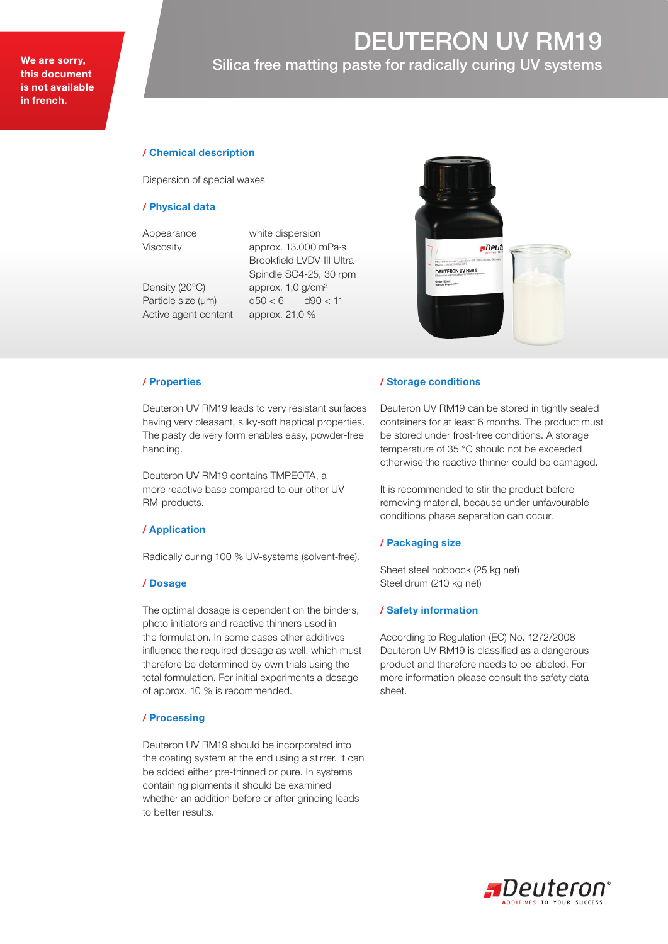# DEUTERON UV RM19 We are sorry, **EXECUTE:** Silica free matting paste for radically curing UV systems

# / Chemical description

Dispersion of special waxes

#### / Physical data

Appearance white dispersion

Active agent content approx. 21,0 %

Viscosity approx. 13.000 mPa·s Brookfield LVDV-III Ultra Spindle SC4-25, 30 rpm Density (20°C) approx. 1,0 g/cm<sup>3</sup> Particle size  $(\mu m)$  d50 < 6 d90 < 11



#### / Properties

Deuteron UV RM19 leads to very resistant surfaces having very pleasant, silky-soft haptical properties. The pasty delivery form enables easy, powder-free handling.

Deuteron UV RM19 contains TMPEOTA, a more reactive base compared to our other UV RM-products.

### / Application

Radically curing 100 % UV-systems (solvent-free).

#### / Dosage

The optimal dosage is dependent on the binders, photo initiators and reactive thinners used in the formulation. In some cases other additives influence the required dosage as well, which must therefore be determined by own trials using the total formulation. For initial experiments a dosage of approx. 10 % is recommended.

## / Processing

Deuteron UV RM19 should be incorporated into the coating system at the end using a stirrer. It can be added either pre-thinned or pure. In systems containing pigments it should be examined whether an addition before or after grinding leads to better results.

#### / Storage conditions

Deuteron UV RM19 can be stored in tightly sealed containers for at least 6 months. The product must be stored under frost-free conditions. A storage temperature of 35 °C should not be exceeded otherwise the reactive thinner could be damaged.

It is recommended to stir the product before removing material, because under unfavourable conditions phase separation can occur.

#### / Packaging size

Sheet steel hobbock (25 kg net) Steel drum (210 kg net)

#### / Safety information

According to Regulation (EC) No. 1272/2008 Deuteron UV RM19 is classified as a dangerous product and therefore needs to be labeled. For more information please consult the safety data sheet.